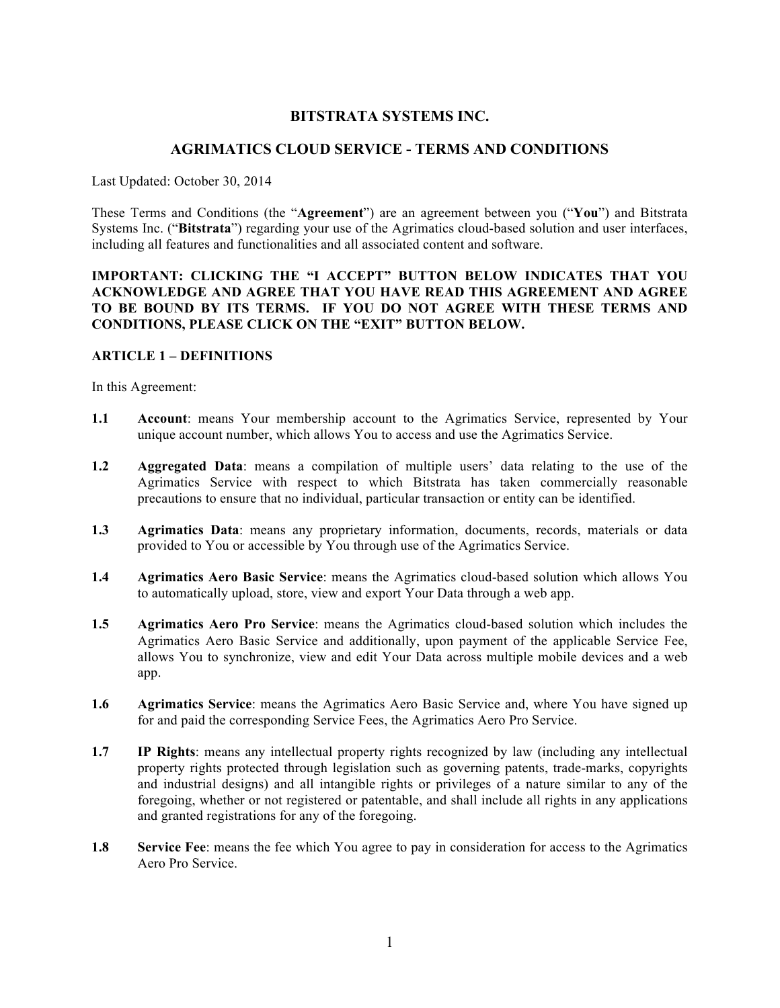## **BITSTRATA SYSTEMS INC.**

#### **AGRIMATICS CLOUD SERVICE - TERMS AND CONDITIONS**

Last Updated: October 30, 2014

These Terms and Conditions (the "**Agreement**") are an agreement between you ("**You**") and Bitstrata Systems Inc. ("**Bitstrata**") regarding your use of the Agrimatics cloud-based solution and user interfaces, including all features and functionalities and all associated content and software.

## **IMPORTANT: CLICKING THE "I ACCEPT" BUTTON BELOW INDICATES THAT YOU ACKNOWLEDGE AND AGREE THAT YOU HAVE READ THIS AGREEMENT AND AGREE TO BE BOUND BY ITS TERMS. IF YOU DO NOT AGREE WITH THESE TERMS AND CONDITIONS, PLEASE CLICK ON THE "EXIT" BUTTON BELOW.**

#### **ARTICLE 1 – DEFINITIONS**

In this Agreement:

- **1.1 Account**: means Your membership account to the Agrimatics Service, represented by Your unique account number, which allows You to access and use the Agrimatics Service.
- **1.2 Aggregated Data**: means a compilation of multiple users' data relating to the use of the Agrimatics Service with respect to which Bitstrata has taken commercially reasonable precautions to ensure that no individual, particular transaction or entity can be identified.
- **1.3 Agrimatics Data**: means any proprietary information, documents, records, materials or data provided to You or accessible by You through use of the Agrimatics Service.
- **1.4 Agrimatics Aero Basic Service**: means the Agrimatics cloud-based solution which allows You to automatically upload, store, view and export Your Data through a web app.
- **1.5 Agrimatics Aero Pro Service**: means the Agrimatics cloud-based solution which includes the Agrimatics Aero Basic Service and additionally, upon payment of the applicable Service Fee, allows You to synchronize, view and edit Your Data across multiple mobile devices and a web app.
- **1.6 Agrimatics Service**: means the Agrimatics Aero Basic Service and, where You have signed up for and paid the corresponding Service Fees, the Agrimatics Aero Pro Service.
- **1.7 IP Rights**: means any intellectual property rights recognized by law (including any intellectual property rights protected through legislation such as governing patents, trade-marks, copyrights and industrial designs) and all intangible rights or privileges of a nature similar to any of the foregoing, whether or not registered or patentable, and shall include all rights in any applications and granted registrations for any of the foregoing.
- **1.8 Service Fee**: means the fee which You agree to pay in consideration for access to the Agrimatics Aero Pro Service.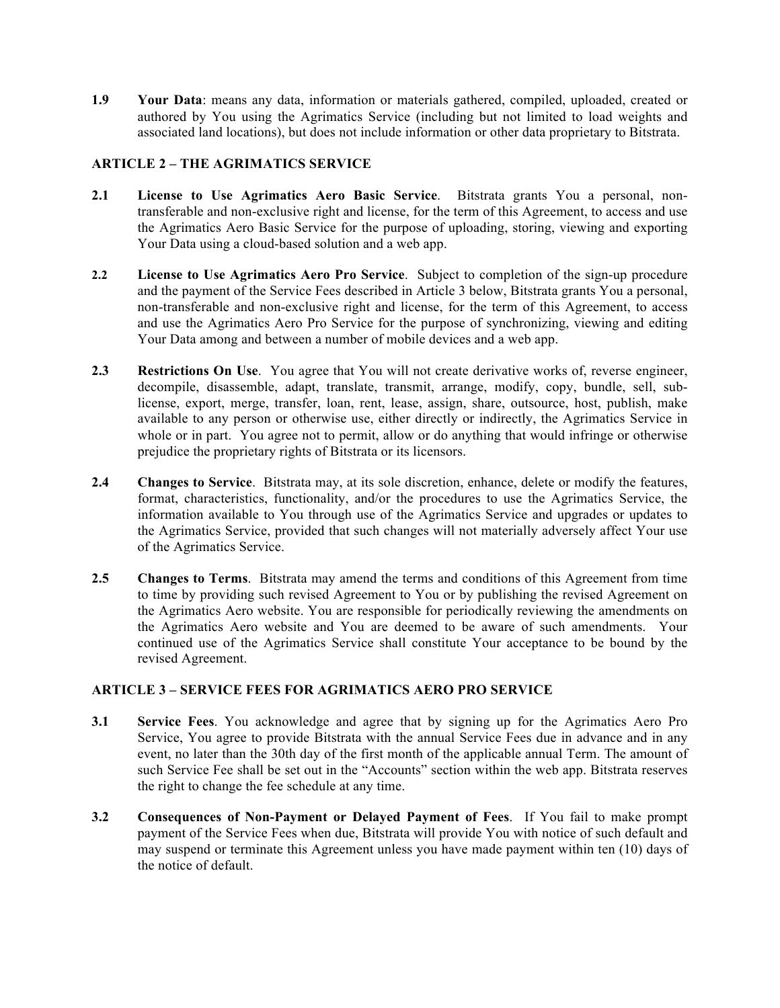**1.9 Your Data**: means any data, information or materials gathered, compiled, uploaded, created or authored by You using the Agrimatics Service (including but not limited to load weights and associated land locations), but does not include information or other data proprietary to Bitstrata.

## **ARTICLE 2 – THE AGRIMATICS SERVICE**

- **2.1 License to Use Agrimatics Aero Basic Service**. Bitstrata grants You a personal, nontransferable and non-exclusive right and license, for the term of this Agreement, to access and use the Agrimatics Aero Basic Service for the purpose of uploading, storing, viewing and exporting Your Data using a cloud-based solution and a web app.
- **2.2 License to Use Agrimatics Aero Pro Service**. Subject to completion of the sign-up procedure and the payment of the Service Fees described in Article 3 below, Bitstrata grants You a personal, non-transferable and non-exclusive right and license, for the term of this Agreement, to access and use the Agrimatics Aero Pro Service for the purpose of synchronizing, viewing and editing Your Data among and between a number of mobile devices and a web app.
- **2.3 Restrictions On Use**. You agree that You will not create derivative works of, reverse engineer, decompile, disassemble, adapt, translate, transmit, arrange, modify, copy, bundle, sell, sublicense, export, merge, transfer, loan, rent, lease, assign, share, outsource, host, publish, make available to any person or otherwise use, either directly or indirectly, the Agrimatics Service in whole or in part. You agree not to permit, allow or do anything that would infringe or otherwise prejudice the proprietary rights of Bitstrata or its licensors.
- **2.4 Changes to Service**. Bitstrata may, at its sole discretion, enhance, delete or modify the features, format, characteristics, functionality, and/or the procedures to use the Agrimatics Service, the information available to You through use of the Agrimatics Service and upgrades or updates to the Agrimatics Service, provided that such changes will not materially adversely affect Your use of the Agrimatics Service.
- **2.5 Changes to Terms**. Bitstrata may amend the terms and conditions of this Agreement from time to time by providing such revised Agreement to You or by publishing the revised Agreement on the Agrimatics Aero website. You are responsible for periodically reviewing the amendments on the Agrimatics Aero website and You are deemed to be aware of such amendments. Your continued use of the Agrimatics Service shall constitute Your acceptance to be bound by the revised Agreement.

### **ARTICLE 3 – SERVICE FEES FOR AGRIMATICS AERO PRO SERVICE**

- **3.1 Service Fees**. You acknowledge and agree that by signing up for the Agrimatics Aero Pro Service, You agree to provide Bitstrata with the annual Service Fees due in advance and in any event, no later than the 30th day of the first month of the applicable annual Term. The amount of such Service Fee shall be set out in the "Accounts" section within the web app. Bitstrata reserves the right to change the fee schedule at any time.
- **3.2 Consequences of Non-Payment or Delayed Payment of Fees**. If You fail to make prompt payment of the Service Fees when due, Bitstrata will provide You with notice of such default and may suspend or terminate this Agreement unless you have made payment within ten (10) days of the notice of default.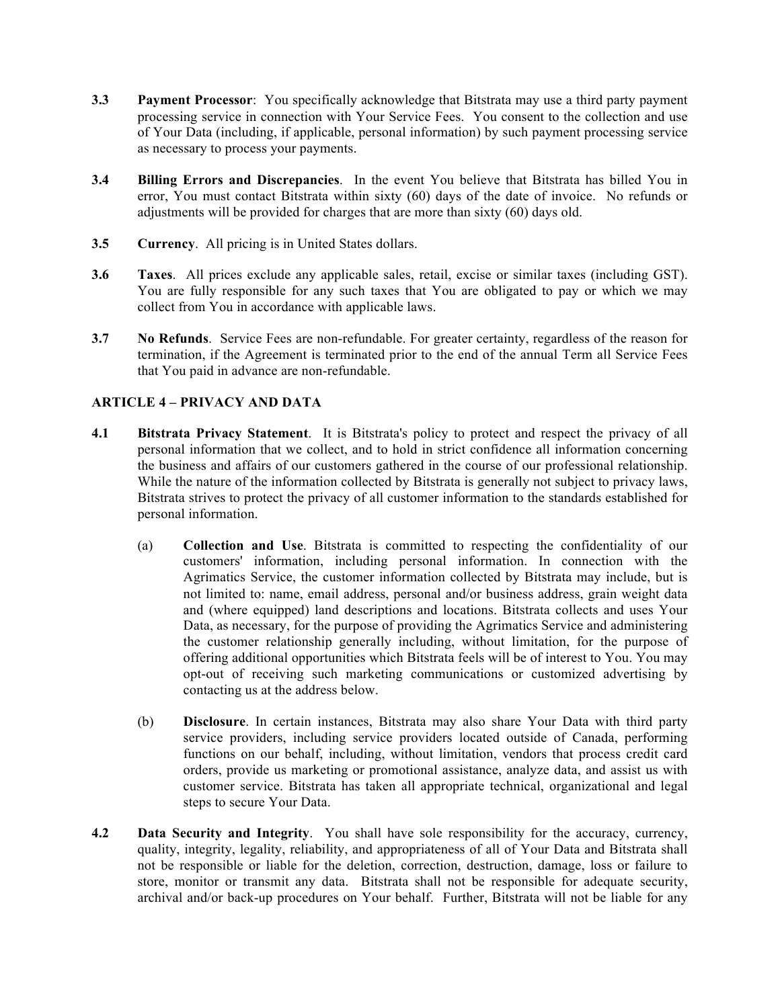- **3.3 Payment Processor**: You specifically acknowledge that Bitstrata may use a third party payment processing service in connection with Your Service Fees. You consent to the collection and use of Your Data (including, if applicable, personal information) by such payment processing service as necessary to process your payments.
- **3.4 Billing Errors and Discrepancies**. In the event You believe that Bitstrata has billed You in error, You must contact Bitstrata within sixty (60) days of the date of invoice. No refunds or adjustments will be provided for charges that are more than sixty (60) days old.
- **3.5 Currency**. All pricing is in United States dollars.
- **3.6 Taxes**. All prices exclude any applicable sales, retail, excise or similar taxes (including GST). You are fully responsible for any such taxes that You are obligated to pay or which we may collect from You in accordance with applicable laws.
- **3.7 No Refunds**. Service Fees are non-refundable. For greater certainty, regardless of the reason for termination, if the Agreement is terminated prior to the end of the annual Term all Service Fees that You paid in advance are non-refundable.

# **ARTICLE 4 – PRIVACY AND DATA**

- **4.1 Bitstrata Privacy Statement**. It is Bitstrata's policy to protect and respect the privacy of all personal information that we collect, and to hold in strict confidence all information concerning the business and affairs of our customers gathered in the course of our professional relationship. While the nature of the information collected by Bitstrata is generally not subject to privacy laws, Bitstrata strives to protect the privacy of all customer information to the standards established for personal information.
	- (a) **Collection and Use**. Bitstrata is committed to respecting the confidentiality of our customers' information, including personal information. In connection with the Agrimatics Service, the customer information collected by Bitstrata may include, but is not limited to: name, email address, personal and/or business address, grain weight data and (where equipped) land descriptions and locations. Bitstrata collects and uses Your Data, as necessary, for the purpose of providing the Agrimatics Service and administering the customer relationship generally including, without limitation, for the purpose of offering additional opportunities which Bitstrata feels will be of interest to You. You may opt-out of receiving such marketing communications or customized advertising by contacting us at the address below.
	- (b) **Disclosure**. In certain instances, Bitstrata may also share Your Data with third party service providers, including service providers located outside of Canada, performing functions on our behalf, including, without limitation, vendors that process credit card orders, provide us marketing or promotional assistance, analyze data, and assist us with customer service. Bitstrata has taken all appropriate technical, organizational and legal steps to secure Your Data.
- **4.2 Data Security and Integrity**. You shall have sole responsibility for the accuracy, currency, quality, integrity, legality, reliability, and appropriateness of all of Your Data and Bitstrata shall not be responsible or liable for the deletion, correction, destruction, damage, loss or failure to store, monitor or transmit any data. Bitstrata shall not be responsible for adequate security, archival and/or back-up procedures on Your behalf. Further, Bitstrata will not be liable for any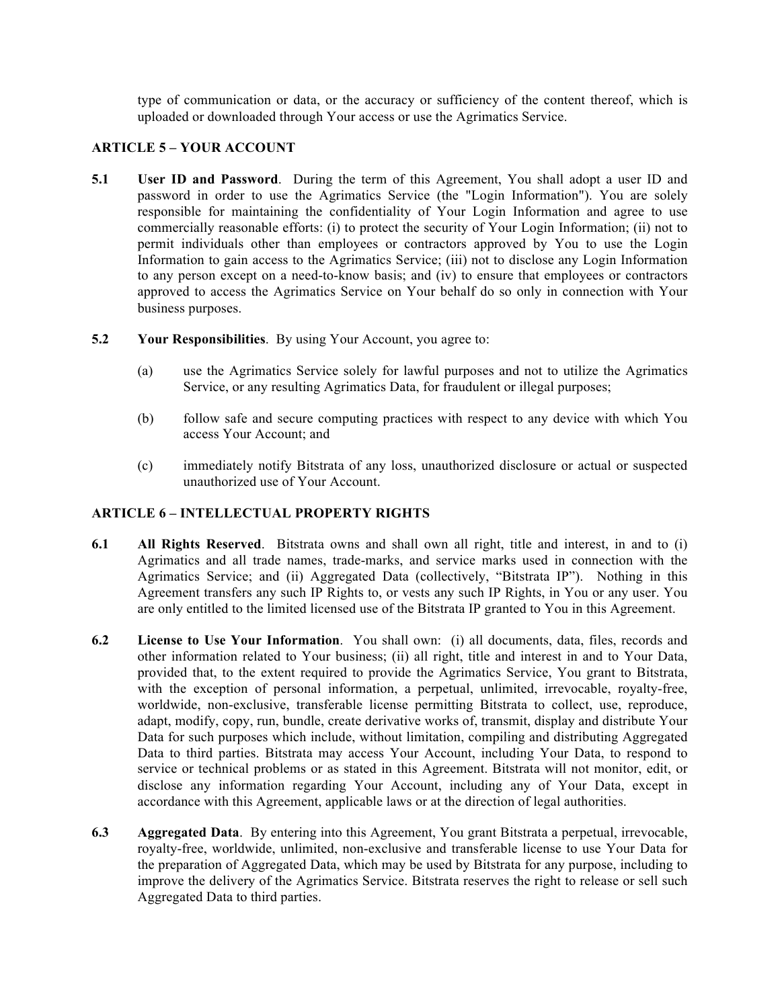type of communication or data, or the accuracy or sufficiency of the content thereof, which is uploaded or downloaded through Your access or use the Agrimatics Service.

## **ARTICLE 5 – YOUR ACCOUNT**

- **5.1 User ID and Password**. During the term of this Agreement, You shall adopt a user ID and password in order to use the Agrimatics Service (the "Login Information"). You are solely responsible for maintaining the confidentiality of Your Login Information and agree to use commercially reasonable efforts: (i) to protect the security of Your Login Information; (ii) not to permit individuals other than employees or contractors approved by You to use the Login Information to gain access to the Agrimatics Service; (iii) not to disclose any Login Information to any person except on a need-to-know basis; and (iv) to ensure that employees or contractors approved to access the Agrimatics Service on Your behalf do so only in connection with Your business purposes.
- **5.2 Your Responsibilities**. By using Your Account, you agree to:
	- (a) use the Agrimatics Service solely for lawful purposes and not to utilize the Agrimatics Service, or any resulting Agrimatics Data, for fraudulent or illegal purposes;
	- (b) follow safe and secure computing practices with respect to any device with which You access Your Account; and
	- (c) immediately notify Bitstrata of any loss, unauthorized disclosure or actual or suspected unauthorized use of Your Account.

#### **ARTICLE 6 – INTELLECTUAL PROPERTY RIGHTS**

- **6.1 All Rights Reserved**. Bitstrata owns and shall own all right, title and interest, in and to (i) Agrimatics and all trade names, trade-marks, and service marks used in connection with the Agrimatics Service; and (ii) Aggregated Data (collectively, "Bitstrata IP"). Nothing in this Agreement transfers any such IP Rights to, or vests any such IP Rights, in You or any user. You are only entitled to the limited licensed use of the Bitstrata IP granted to You in this Agreement.
- **6.2 License to Use Your Information**. You shall own: (i) all documents, data, files, records and other information related to Your business; (ii) all right, title and interest in and to Your Data, provided that, to the extent required to provide the Agrimatics Service, You grant to Bitstrata, with the exception of personal information, a perpetual, unlimited, irrevocable, royalty-free, worldwide, non-exclusive, transferable license permitting Bitstrata to collect, use, reproduce, adapt, modify, copy, run, bundle, create derivative works of, transmit, display and distribute Your Data for such purposes which include, without limitation, compiling and distributing Aggregated Data to third parties. Bitstrata may access Your Account, including Your Data, to respond to service or technical problems or as stated in this Agreement. Bitstrata will not monitor, edit, or disclose any information regarding Your Account, including any of Your Data, except in accordance with this Agreement, applicable laws or at the direction of legal authorities.
- **6.3 Aggregated Data**. By entering into this Agreement, You grant Bitstrata a perpetual, irrevocable, royalty-free, worldwide, unlimited, non-exclusive and transferable license to use Your Data for the preparation of Aggregated Data, which may be used by Bitstrata for any purpose, including to improve the delivery of the Agrimatics Service. Bitstrata reserves the right to release or sell such Aggregated Data to third parties.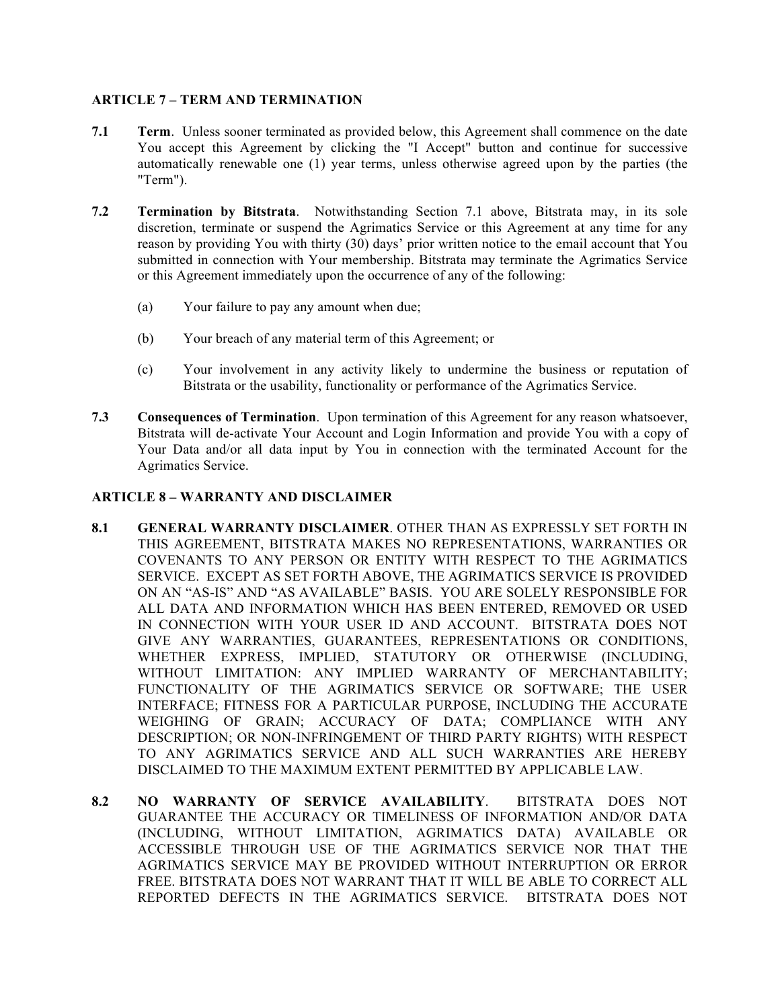## **ARTICLE 7 – TERM AND TERMINATION**

- **7.1 Term**. Unless sooner terminated as provided below, this Agreement shall commence on the date You accept this Agreement by clicking the "I Accept" button and continue for successive automatically renewable one (1) year terms, unless otherwise agreed upon by the parties (the "Term").
- **7.2 Termination by Bitstrata**. Notwithstanding Section 7.1 above, Bitstrata may, in its sole discretion, terminate or suspend the Agrimatics Service or this Agreement at any time for any reason by providing You with thirty (30) days' prior written notice to the email account that You submitted in connection with Your membership. Bitstrata may terminate the Agrimatics Service or this Agreement immediately upon the occurrence of any of the following:
	- (a) Your failure to pay any amount when due;
	- (b) Your breach of any material term of this Agreement; or
	- (c) Your involvement in any activity likely to undermine the business or reputation of Bitstrata or the usability, functionality or performance of the Agrimatics Service.
- **7.3 Consequences of Termination**. Upon termination of this Agreement for any reason whatsoever, Bitstrata will de-activate Your Account and Login Information and provide You with a copy of Your Data and/or all data input by You in connection with the terminated Account for the Agrimatics Service.

## **ARTICLE 8 – WARRANTY AND DISCLAIMER**

- **8.1 GENERAL WARRANTY DISCLAIMER**. OTHER THAN AS EXPRESSLY SET FORTH IN THIS AGREEMENT, BITSTRATA MAKES NO REPRESENTATIONS, WARRANTIES OR COVENANTS TO ANY PERSON OR ENTITY WITH RESPECT TO THE AGRIMATICS SERVICE. EXCEPT AS SET FORTH ABOVE, THE AGRIMATICS SERVICE IS PROVIDED ON AN "AS-IS" AND "AS AVAILABLE" BASIS. YOU ARE SOLELY RESPONSIBLE FOR ALL DATA AND INFORMATION WHICH HAS BEEN ENTERED, REMOVED OR USED IN CONNECTION WITH YOUR USER ID AND ACCOUNT. BITSTRATA DOES NOT GIVE ANY WARRANTIES, GUARANTEES, REPRESENTATIONS OR CONDITIONS, WHETHER EXPRESS, IMPLIED, STATUTORY OR OTHERWISE (INCLUDING, WITHOUT LIMITATION: ANY IMPLIED WARRANTY OF MERCHANTABILITY; FUNCTIONALITY OF THE AGRIMATICS SERVICE OR SOFTWARE; THE USER INTERFACE; FITNESS FOR A PARTICULAR PURPOSE, INCLUDING THE ACCURATE WEIGHING OF GRAIN; ACCURACY OF DATA; COMPLIANCE WITH ANY DESCRIPTION; OR NON-INFRINGEMENT OF THIRD PARTY RIGHTS) WITH RESPECT TO ANY AGRIMATICS SERVICE AND ALL SUCH WARRANTIES ARE HEREBY DISCLAIMED TO THE MAXIMUM EXTENT PERMITTED BY APPLICABLE LAW.
- **8.2 NO WARRANTY OF SERVICE AVAILABILITY**. BITSTRATA DOES NOT GUARANTEE THE ACCURACY OR TIMELINESS OF INFORMATION AND/OR DATA (INCLUDING, WITHOUT LIMITATION, AGRIMATICS DATA) AVAILABLE OR ACCESSIBLE THROUGH USE OF THE AGRIMATICS SERVICE NOR THAT THE AGRIMATICS SERVICE MAY BE PROVIDED WITHOUT INTERRUPTION OR ERROR FREE. BITSTRATA DOES NOT WARRANT THAT IT WILL BE ABLE TO CORRECT ALL REPORTED DEFECTS IN THE AGRIMATICS SERVICE. BITSTRATA DOES NOT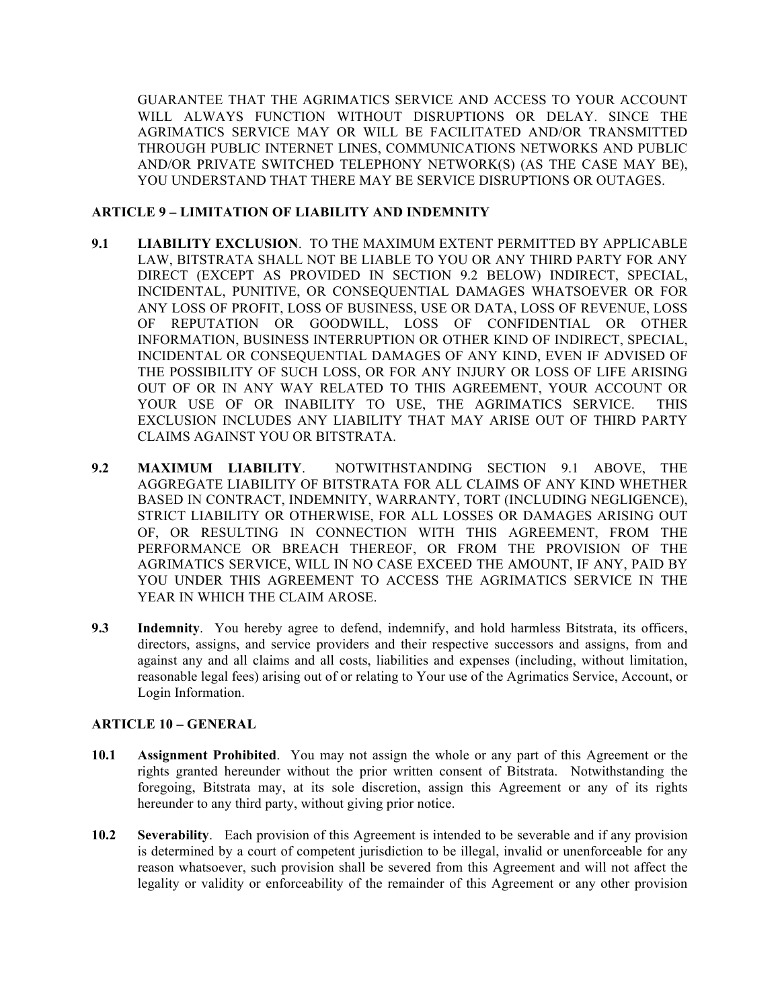GUARANTEE THAT THE AGRIMATICS SERVICE AND ACCESS TO YOUR ACCOUNT WILL ALWAYS FUNCTION WITHOUT DISRUPTIONS OR DELAY. SINCE THE AGRIMATICS SERVICE MAY OR WILL BE FACILITATED AND/OR TRANSMITTED THROUGH PUBLIC INTERNET LINES, COMMUNICATIONS NETWORKS AND PUBLIC AND/OR PRIVATE SWITCHED TELEPHONY NETWORK(S) (AS THE CASE MAY BE), YOU UNDERSTAND THAT THERE MAY BE SERVICE DISRUPTIONS OR OUTAGES.

#### **ARTICLE 9 – LIMITATION OF LIABILITY AND INDEMNITY**

- **9.1 LIABILITY EXCLUSION**. TO THE MAXIMUM EXTENT PERMITTED BY APPLICABLE LAW, BITSTRATA SHALL NOT BE LIABLE TO YOU OR ANY THIRD PARTY FOR ANY DIRECT (EXCEPT AS PROVIDED IN SECTION 9.2 BELOW) INDIRECT, SPECIAL, INCIDENTAL, PUNITIVE, OR CONSEQUENTIAL DAMAGES WHATSOEVER OR FOR ANY LOSS OF PROFIT, LOSS OF BUSINESS, USE OR DATA, LOSS OF REVENUE, LOSS OF REPUTATION OR GOODWILL, LOSS OF CONFIDENTIAL OR OTHER INFORMATION, BUSINESS INTERRUPTION OR OTHER KIND OF INDIRECT, SPECIAL, INCIDENTAL OR CONSEQUENTIAL DAMAGES OF ANY KIND, EVEN IF ADVISED OF THE POSSIBILITY OF SUCH LOSS, OR FOR ANY INJURY OR LOSS OF LIFE ARISING OUT OF OR IN ANY WAY RELATED TO THIS AGREEMENT, YOUR ACCOUNT OR YOUR USE OF OR INABILITY TO USE, THE AGRIMATICS SERVICE. THIS EXCLUSION INCLUDES ANY LIABILITY THAT MAY ARISE OUT OF THIRD PARTY CLAIMS AGAINST YOU OR BITSTRATA.
- **9.2 MAXIMUM LIABILITY**. NOTWITHSTANDING SECTION 9.1 ABOVE, THE AGGREGATE LIABILITY OF BITSTRATA FOR ALL CLAIMS OF ANY KIND WHETHER BASED IN CONTRACT, INDEMNITY, WARRANTY, TORT (INCLUDING NEGLIGENCE), STRICT LIABILITY OR OTHERWISE, FOR ALL LOSSES OR DAMAGES ARISING OUT OF, OR RESULTING IN CONNECTION WITH THIS AGREEMENT, FROM THE PERFORMANCE OR BREACH THEREOF, OR FROM THE PROVISION OF THE AGRIMATICS SERVICE, WILL IN NO CASE EXCEED THE AMOUNT, IF ANY, PAID BY YOU UNDER THIS AGREEMENT TO ACCESS THE AGRIMATICS SERVICE IN THE YEAR IN WHICH THE CLAIM AROSE.
- **9.3 Indemnity**. You hereby agree to defend, indemnify, and hold harmless Bitstrata, its officers, directors, assigns, and service providers and their respective successors and assigns, from and against any and all claims and all costs, liabilities and expenses (including, without limitation, reasonable legal fees) arising out of or relating to Your use of the Agrimatics Service, Account, or Login Information.

### **ARTICLE 10 – GENERAL**

- **10.1 Assignment Prohibited**. You may not assign the whole or any part of this Agreement or the rights granted hereunder without the prior written consent of Bitstrata. Notwithstanding the foregoing, Bitstrata may, at its sole discretion, assign this Agreement or any of its rights hereunder to any third party, without giving prior notice.
- **10.2 Severability**. Each provision of this Agreement is intended to be severable and if any provision is determined by a court of competent jurisdiction to be illegal, invalid or unenforceable for any reason whatsoever, such provision shall be severed from this Agreement and will not affect the legality or validity or enforceability of the remainder of this Agreement or any other provision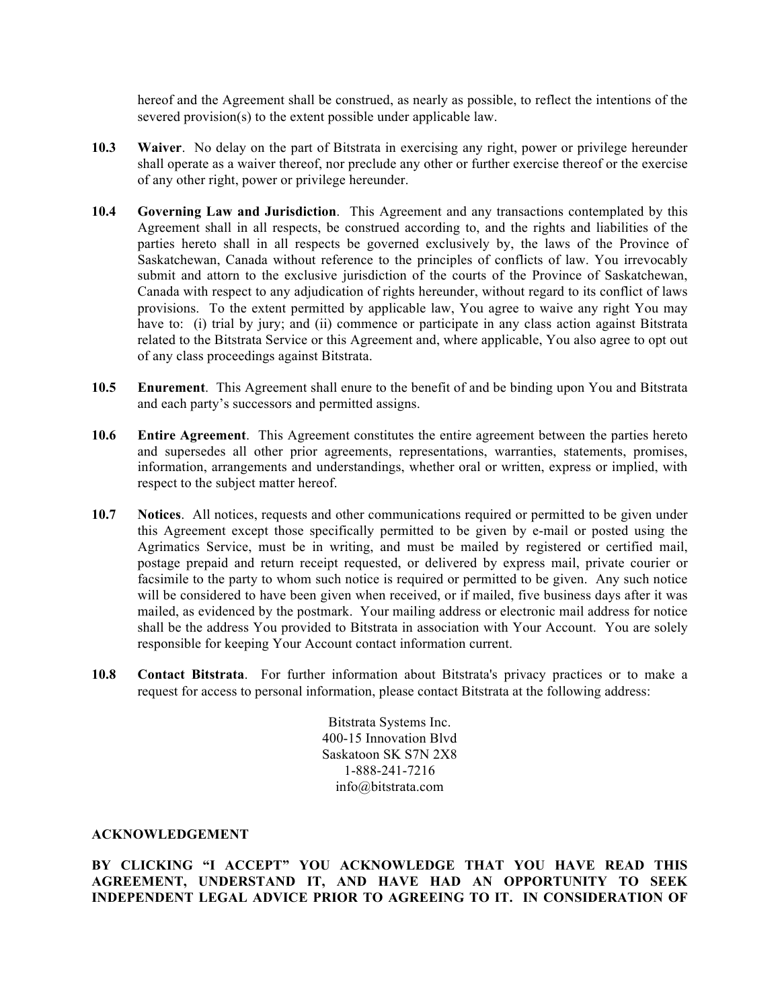hereof and the Agreement shall be construed, as nearly as possible, to reflect the intentions of the severed provision(s) to the extent possible under applicable law.

- **10.3 Waiver**. No delay on the part of Bitstrata in exercising any right, power or privilege hereunder shall operate as a waiver thereof, nor preclude any other or further exercise thereof or the exercise of any other right, power or privilege hereunder.
- **10.4 Governing Law and Jurisdiction**. This Agreement and any transactions contemplated by this Agreement shall in all respects, be construed according to, and the rights and liabilities of the parties hereto shall in all respects be governed exclusively by, the laws of the Province of Saskatchewan, Canada without reference to the principles of conflicts of law. You irrevocably submit and attorn to the exclusive jurisdiction of the courts of the Province of Saskatchewan, Canada with respect to any adjudication of rights hereunder, without regard to its conflict of laws provisions. To the extent permitted by applicable law, You agree to waive any right You may have to: (i) trial by jury; and (ii) commence or participate in any class action against Bitstrata related to the Bitstrata Service or this Agreement and, where applicable, You also agree to opt out of any class proceedings against Bitstrata.
- **10.5 Enurement**. This Agreement shall enure to the benefit of and be binding upon You and Bitstrata and each party's successors and permitted assigns.
- **10.6 Entire Agreement**. This Agreement constitutes the entire agreement between the parties hereto and supersedes all other prior agreements, representations, warranties, statements, promises, information, arrangements and understandings, whether oral or written, express or implied, with respect to the subject matter hereof.
- **10.7 Notices**. All notices, requests and other communications required or permitted to be given under this Agreement except those specifically permitted to be given by e-mail or posted using the Agrimatics Service, must be in writing, and must be mailed by registered or certified mail, postage prepaid and return receipt requested, or delivered by express mail, private courier or facsimile to the party to whom such notice is required or permitted to be given. Any such notice will be considered to have been given when received, or if mailed, five business days after it was mailed, as evidenced by the postmark. Your mailing address or electronic mail address for notice shall be the address You provided to Bitstrata in association with Your Account. You are solely responsible for keeping Your Account contact information current.
- **10.8 Contact Bitstrata**. For further information about Bitstrata's privacy practices or to make a request for access to personal information, please contact Bitstrata at the following address:

Bitstrata Systems Inc. 400-15 Innovation Blvd Saskatoon SK S7N 2X8 1-888-241-7216 info@bitstrata.com

#### **ACKNOWLEDGEMENT**

## **BY CLICKING "I ACCEPT" YOU ACKNOWLEDGE THAT YOU HAVE READ THIS AGREEMENT, UNDERSTAND IT, AND HAVE HAD AN OPPORTUNITY TO SEEK INDEPENDENT LEGAL ADVICE PRIOR TO AGREEING TO IT. IN CONSIDERATION OF**